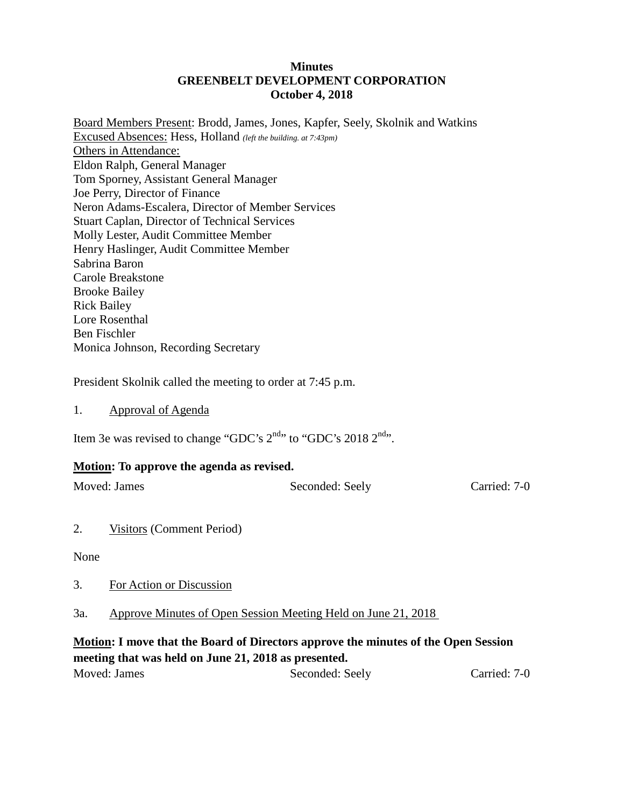#### **Minutes GREENBELT DEVELOPMENT CORPORATION October 4, 2018**

Board Members Present: Brodd, James, Jones, Kapfer, Seely, Skolnik and Watkins Excused Absences: Hess, Holland *(left the building. at 7:43pm)* Others in Attendance: Eldon Ralph, General Manager Tom Sporney, Assistant General Manager Joe Perry, Director of Finance Neron Adams-Escalera, Director of Member Services Stuart Caplan, Director of Technical Services Molly Lester, Audit Committee Member Henry Haslinger, Audit Committee Member Sabrina Baron Carole Breakstone Brooke Bailey Rick Bailey Lore Rosenthal Ben Fischler Monica Johnson, Recording Secretary

President Skolnik called the meeting to order at 7:45 p.m.

1. Approval of Agenda

Item 3e was revised to change "GDC's 2<sup>nd</sup>" to "GDC's 2018 2<sup>nd</sup>".

#### **Motion: To approve the agenda as revised.**

Moved: James Seconded: Seely Carried: 7-0

2. Visitors (Comment Period)

None

3. For Action or Discussion

3a. Approve Minutes of Open Session Meeting Held on June 21, 2018

## **Motion: I move that the Board of Directors approve the minutes of the Open Session meeting that was held on June 21, 2018 as presented.**

| Moved: James | Seconded: Seely | Carried: 7-0 |
|--------------|-----------------|--------------|
|              |                 |              |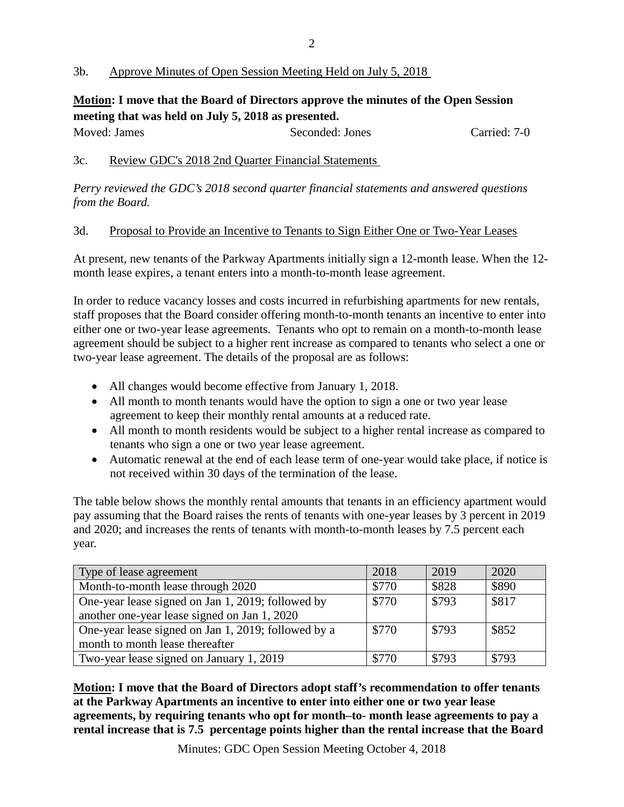### 3b. Approve Minutes of Open Session Meeting Held on July 5, 2018

# **Motion: I move that the Board of Directors approve the minutes of the Open Session meeting that was held on July 5, 2018 as presented.**

| Moved: James | Seconded: Jones | Carried: 7-0 |
|--------------|-----------------|--------------|
|              |                 |              |

### 3c. Review GDC's 2018 2nd Quarter Financial Statements

*Perry reviewed the GDC's 2018 second quarter financial statements and answered questions from the Board.*

#### 3d. Proposal to Provide an Incentive to Tenants to Sign Either One or Two-Year Leases

At present, new tenants of the Parkway Apartments initially sign a 12-month lease. When the 12 month lease expires, a tenant enters into a month-to-month lease agreement.

In order to reduce vacancy losses and costs incurred in refurbishing apartments for new rentals, staff proposes that the Board consider offering month-to-month tenants an incentive to enter into either one or two-year lease agreements. Tenants who opt to remain on a month-to-month lease agreement should be subject to a higher rent increase as compared to tenants who select a one or two-year lease agreement. The details of the proposal are as follows:

- All changes would become effective from January 1, 2018.
- All month to month tenants would have the option to sign a one or two year lease agreement to keep their monthly rental amounts at a reduced rate.
- All month to month residents would be subject to a higher rental increase as compared to tenants who sign a one or two year lease agreement.
- Automatic renewal at the end of each lease term of one-year would take place, if notice is not received within 30 days of the termination of the lease.

The table below shows the monthly rental amounts that tenants in an efficiency apartment would pay assuming that the Board raises the rents of tenants with one-year leases by 3 percent in 2019 and 2020; and increases the rents of tenants with month-to-month leases by 7.5 percent each year.

| Type of lease agreement                             | 2018  | 2019  | 2020  |
|-----------------------------------------------------|-------|-------|-------|
| Month-to-month lease through 2020                   | \$770 | \$828 | \$890 |
| One-year lease signed on Jan 1, 2019; followed by   | \$770 | \$793 | \$817 |
| another one-year lease signed on Jan 1, 2020        |       |       |       |
| One-year lease signed on Jan 1, 2019; followed by a | \$770 | \$793 | \$852 |
| month to month lease thereafter                     |       |       |       |
| Two-year lease signed on January 1, 2019            | \$770 | \$793 | \$793 |

**Motion: I move that the Board of Directors adopt staff's recommendation to offer tenants at the Parkway Apartments an incentive to enter into either one or two year lease agreements, by requiring tenants who opt for month–to- month lease agreements to pay a rental increase that is 7.5 percentage points higher than the rental increase that the Board**